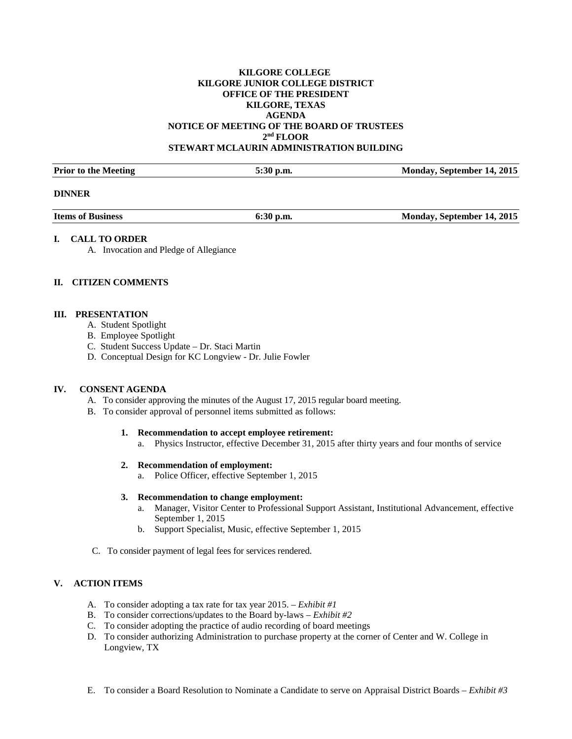## **KILGORE COLLEGE KILGORE JUNIOR COLLEGE DISTRICT OFFICE OF THE PRESIDENT KILGORE, TEXAS AGENDA NOTICE OF MEETING OF THE BOARD OF TRUSTEES 2nd FLOOR STEWART MCLAURIN ADMINISTRATION BUILDING**

| <b>Prior to the Meeting</b> | 5:30 p.m. | Monday, September 14, 2015 |
|-----------------------------|-----------|----------------------------|

#### **DINNER**

**Items of Business 6:30 p.m.** 6:30 p.m. Monday, September 14, 2015

### **I. CALL TO ORDER**

A. Invocation and Pledge of Allegiance

# **II. CITIZEN COMMENTS**

### **III. PRESENTATION**

- A. Student Spotlight
- B. Employee Spotlight
- C. Student Success Update Dr. Staci Martin
- D. Conceptual Design for KC Longview Dr. Julie Fowler

### **IV. CONSENT AGENDA**

- A. To consider approving the minutes of the August 17, 2015 regular board meeting.
- B. To consider approval of personnel items submitted as follows:

#### **1. Recommendation to accept employee retirement:**

a. Physics Instructor, effective December 31, 2015 after thirty years and four months of service

#### **2. Recommendation of employment:**

a. Police Officer, effective September 1, 2015

#### **3. Recommendation to change employment:**

- a. Manager, Visitor Center to Professional Support Assistant, Institutional Advancement, effective September 1, 2015
- b. Support Specialist, Music, effective September 1, 2015
- C. To consider payment of legal fees for services rendered.

## **V. ACTION ITEMS**

- A. To consider adopting a tax rate for tax year 2015. *Exhibit #1*
- B. To consider corrections/updates to the Board by-laws *Exhibit #2*
- C. To consider adopting the practice of audio recording of board meetings
- D. To consider authorizing Administration to purchase property at the corner of Center and W. College in Longview, TX
- E. To consider a Board Resolution to Nominate a Candidate to serve on Appraisal District Boards *Exhibit #3*